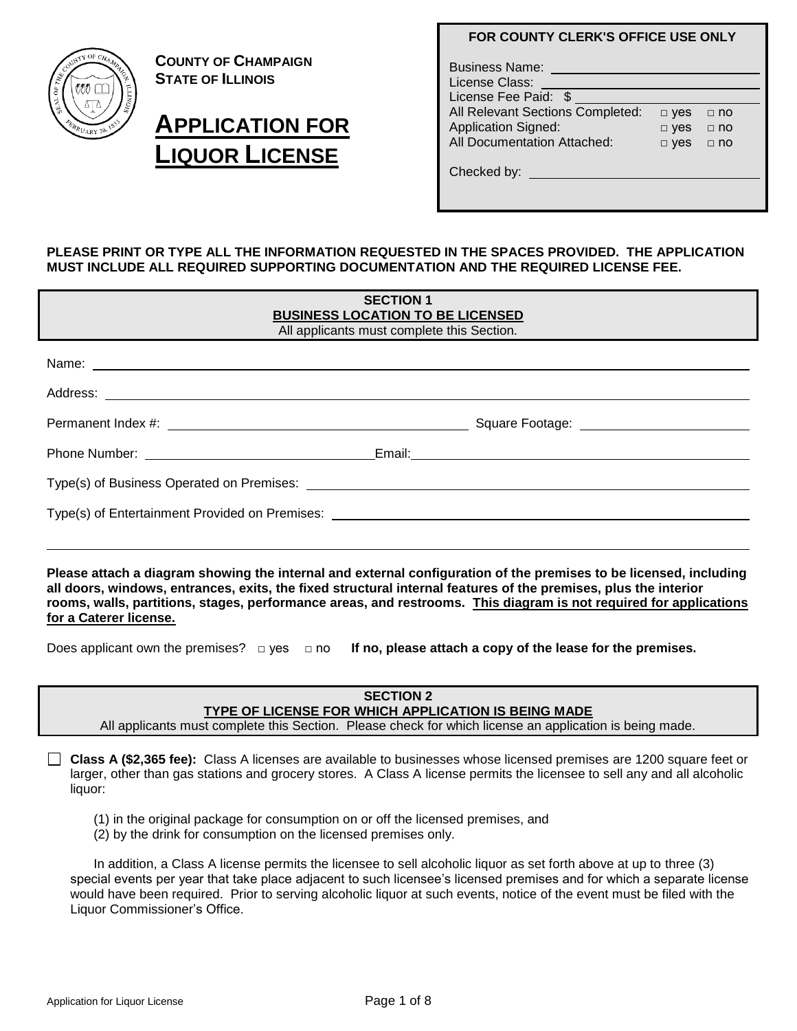

**COUNTY OF CHAMPAIGN STATE OF ILLINOIS**

# **APPLICATION FOR LIQUOR LICENSE**

# **FOR COUNTY CLERK'S OFFICE USE ONLY**

| <b>Business Name:</b><br>License Class:<br>License Fee Paid: \$ |            |             |
|-----------------------------------------------------------------|------------|-------------|
| All Relevant Sections Completed:                                | $\Box$ yes | $\sqcap$ no |
| <b>Application Signed:</b>                                      | $\Box$ yes | $\Box$ no   |
| All Documentation Attached:                                     | $\Box$ yes | $\Box$ no   |
| Checked by: _____                                               |            |             |

## **PLEASE PRINT OR TYPE ALL THE INFORMATION REQUESTED IN THE SPACES PROVIDED. THE APPLICATION MUST INCLUDE ALL REQUIRED SUPPORTING DOCUMENTATION AND THE REQUIRED LICENSE FEE.**

| <b>SECTION 1</b><br><b>BUSINESS LOCATION TO BE LICENSED</b><br>All applicants must complete this Section. |  |  |
|-----------------------------------------------------------------------------------------------------------|--|--|
|                                                                                                           |  |  |
|                                                                                                           |  |  |
|                                                                                                           |  |  |
|                                                                                                           |  |  |
| Type(s) of Entertainment Provided on Premises: _________________________________                          |  |  |
|                                                                                                           |  |  |

**Please attach a diagram showing the internal and external configuration of the premises to be licensed, including all doors, windows, entrances, exits, the fixed structural internal features of the premises, plus the interior rooms, walls, partitions, stages, performance areas, and restrooms. This diagram is not required for applications for a Caterer license.** 

Does applicant own the premises? □ yes □ no **If no, please attach a copy of the lease for the premises.**

#### **SECTION 2 TYPE OF LICENSE FOR WHICH APPLICATION IS BEING MADE** All applicants must complete this Section. Please check for which license an application is being made.

**Class A (\$2,365 fee):** Class A licenses are available to businesses whose licensed premises are 1200 square feet or larger, other than gas stations and grocery stores. A Class A license permits the licensee to sell any and all alcoholic liquor:

(1) in the original package for consumption on or off the licensed premises, and

(2) by the drink for consumption on the licensed premises only.

In addition, a Class A license permits the licensee to sell alcoholic liquor as set forth above at up to three (3) special events per year that take place adjacent to such licensee's licensed premises and for which a separate license would have been required. Prior to serving alcoholic liquor at such events, notice of the event must be filed with the Liquor Commissioner's Office.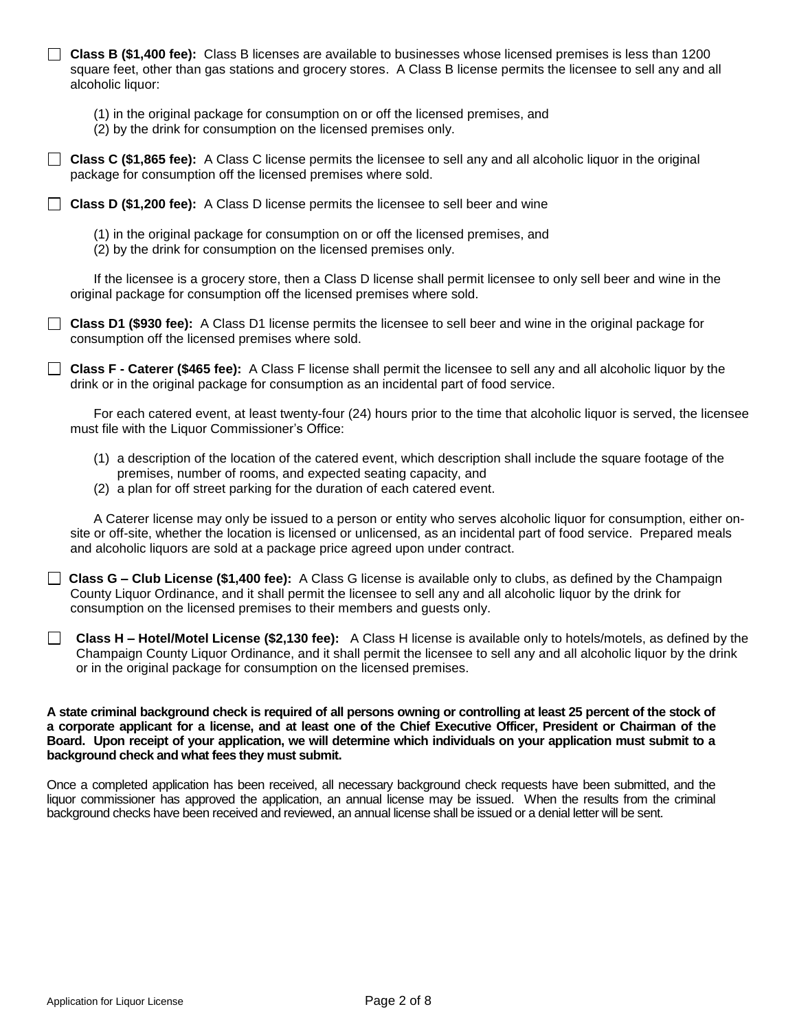**Class B (\$1,400 fee):** Class B licenses are available to businesses whose licensed premises is less than 1200 square feet, other than gas stations and grocery stores. A Class B license permits the licensee to sell any and all alcoholic liquor:

- (1) in the original package for consumption on or off the licensed premises, and
- (2) by the drink for consumption on the licensed premises only.

**Class C (\$1,865 fee):** A Class C license permits the licensee to sell any and all alcoholic liquor in the original package for consumption off the licensed premises where sold.

**Class D (\$1,200 fee):** A Class D license permits the licensee to sell beer and wine

(1) in the original package for consumption on or off the licensed premises, and

(2) by the drink for consumption on the licensed premises only.

If the licensee is a grocery store, then a Class D license shall permit licensee to only sell beer and wine in the original package for consumption off the licensed premises where sold.

**Class D1 (\$930 fee):** A Class D1 license permits the licensee to sell beer and wine in the original package for consumption off the licensed premises where sold.

**Class F - Caterer (\$465 fee):** A Class F license shall permit the licensee to sell any and all alcoholic liquor by the drink or in the original package for consumption as an incidental part of food service.

For each catered event, at least twenty-four (24) hours prior to the time that alcoholic liquor is served, the licensee must file with the Liquor Commissioner's Office:

- (1) a description of the location of the catered event, which description shall include the square footage of the premises, number of rooms, and expected seating capacity, and
- (2) a plan for off street parking for the duration of each catered event.

A Caterer license may only be issued to a person or entity who serves alcoholic liquor for consumption, either onsite or off-site, whether the location is licensed or unlicensed, as an incidental part of food service. Prepared meals and alcoholic liquors are sold at a package price agreed upon under contract.

 **Class G – Club License (\$1,400 fee):** A Class G license is available only to clubs, as defined by the Champaign County Liquor Ordinance, and it shall permit the licensee to sell any and all alcoholic liquor by the drink for consumption on the licensed premises to their members and guests only.

 **Class H – Hotel/Motel License (\$2,130 fee):** A Class H license is available only to hotels/motels, as defined by the Champaign County Liquor Ordinance, and it shall permit the licensee to sell any and all alcoholic liquor by the drink or in the original package for consumption on the licensed premises.

**A state criminal background check is required of all persons owning or controlling at least 25 percent of the stock of a corporate applicant for a license, and at least one of the Chief Executive Officer, President or Chairman of the Board. Upon receipt of your application, we will determine which individuals on your application must submit to a background check and what fees they must submit.** 

Once a completed application has been received, all necessary background check requests have been submitted, and the liquor commissioner has approved the application, an annual license may be issued. When the results from the criminal background checks have been received and reviewed, an annual license shall be issued or a denial letter will be sent.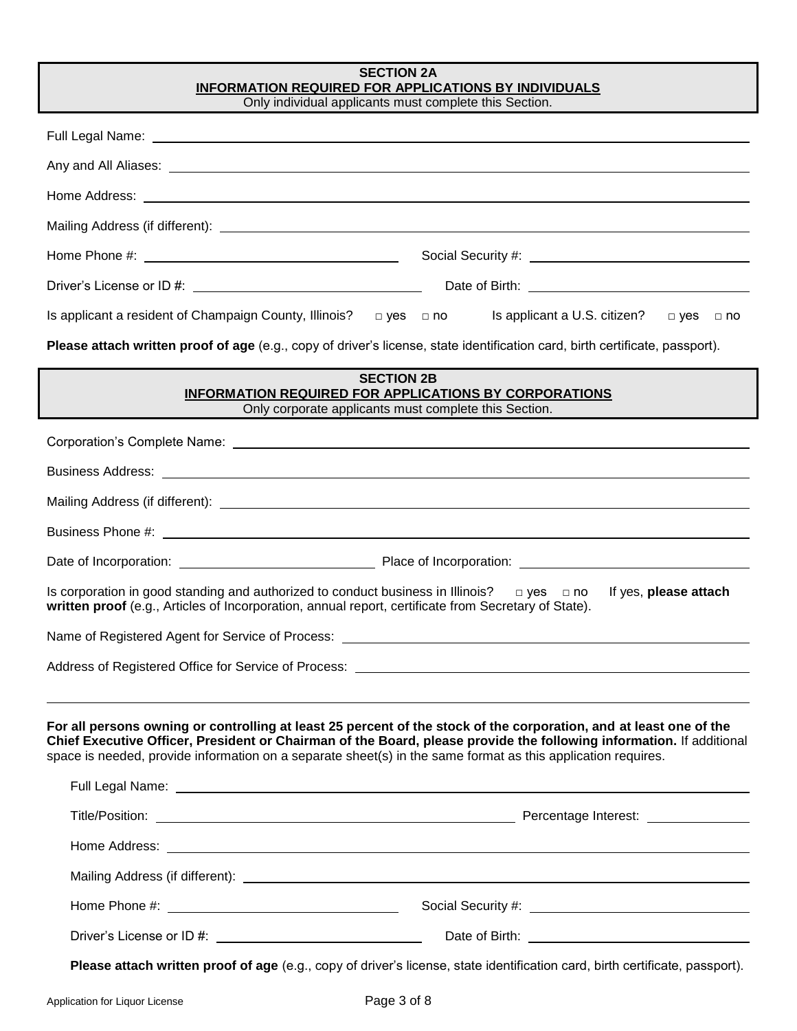| <b>SECTION 2A</b><br><b>INFORMATION REQUIRED FOR APPLICATIONS BY INDIVIDUALS</b><br>Only individual applicants must complete this Section.                                                                                                                                                                                                                                                                                                                                                                                                                                                         |                       |  |
|----------------------------------------------------------------------------------------------------------------------------------------------------------------------------------------------------------------------------------------------------------------------------------------------------------------------------------------------------------------------------------------------------------------------------------------------------------------------------------------------------------------------------------------------------------------------------------------------------|-----------------------|--|
| Full Legal Name: <u>Name: Alexander Communication of the State of Alexander Communication</u>                                                                                                                                                                                                                                                                                                                                                                                                                                                                                                      |                       |  |
| Any and All Aliases: <u>example and a series of the series of the series of the series of the series of the series of the series of the series of the series of the series of the series of the series of the series of the seri</u>                                                                                                                                                                                                                                                                                                                                                               |                       |  |
|                                                                                                                                                                                                                                                                                                                                                                                                                                                                                                                                                                                                    |                       |  |
|                                                                                                                                                                                                                                                                                                                                                                                                                                                                                                                                                                                                    |                       |  |
|                                                                                                                                                                                                                                                                                                                                                                                                                                                                                                                                                                                                    |                       |  |
|                                                                                                                                                                                                                                                                                                                                                                                                                                                                                                                                                                                                    |                       |  |
| Is applicant a resident of Champaign County, Illinois? $\Box$ yes $\Box$ no Is applicant a U.S. citizen?                                                                                                                                                                                                                                                                                                                                                                                                                                                                                           | □ yes □ no            |  |
| Please attach written proof of age (e.g., copy of driver's license, state identification card, birth certificate, passport).                                                                                                                                                                                                                                                                                                                                                                                                                                                                       |                       |  |
| <b>SECTION 2B</b><br>INFORMATION REQUIRED FOR APPLICATIONS BY CORPORATIONS<br>Only corporate applicants must complete this Section.                                                                                                                                                                                                                                                                                                                                                                                                                                                                |                       |  |
|                                                                                                                                                                                                                                                                                                                                                                                                                                                                                                                                                                                                    |                       |  |
|                                                                                                                                                                                                                                                                                                                                                                                                                                                                                                                                                                                                    |                       |  |
|                                                                                                                                                                                                                                                                                                                                                                                                                                                                                                                                                                                                    |                       |  |
|                                                                                                                                                                                                                                                                                                                                                                                                                                                                                                                                                                                                    |                       |  |
|                                                                                                                                                                                                                                                                                                                                                                                                                                                                                                                                                                                                    |                       |  |
| Is corporation in good standing and authorized to conduct business in Illinois? $\Box$ yes $\Box$ no<br>written proof (e.g., Articles of Incorporation, annual report, certificate from Secretary of State).                                                                                                                                                                                                                                                                                                                                                                                       | If yes, please attach |  |
| Name of Registered Agent for Service of Process:                                                                                                                                                                                                                                                                                                                                                                                                                                                                                                                                                   |                       |  |
|                                                                                                                                                                                                                                                                                                                                                                                                                                                                                                                                                                                                    |                       |  |
| For all persons owning or controlling at least 25 percent of the stock of the corporation, and at least one of the<br>Chief Executive Officer, President or Chairman of the Board, please provide the following information. If additional<br>space is needed, provide information on a separate sheet(s) in the same format as this application requires.<br>Full Legal Name: <u>Name: Name of the Community of the Community of the Community of the Community of the Community of the Community of the Community of the Community of the Community of the Community of the Community of the</u> |                       |  |
|                                                                                                                                                                                                                                                                                                                                                                                                                                                                                                                                                                                                    |                       |  |
|                                                                                                                                                                                                                                                                                                                                                                                                                                                                                                                                                                                                    |                       |  |
|                                                                                                                                                                                                                                                                                                                                                                                                                                                                                                                                                                                                    |                       |  |
|                                                                                                                                                                                                                                                                                                                                                                                                                                                                                                                                                                                                    |                       |  |
| Driver's License or ID #: \\connection \\connection \\connection \\connection \\connection \\connection \\connection \\connection \\connection \\connection \\connection \\connection \\connection \\connection \\connection \                                                                                                                                                                                                                                                                                                                                                                     |                       |  |
| Please attach written proof of age (e.g., copy of driver's license, state identification card, birth certificate, passport).                                                                                                                                                                                                                                                                                                                                                                                                                                                                       |                       |  |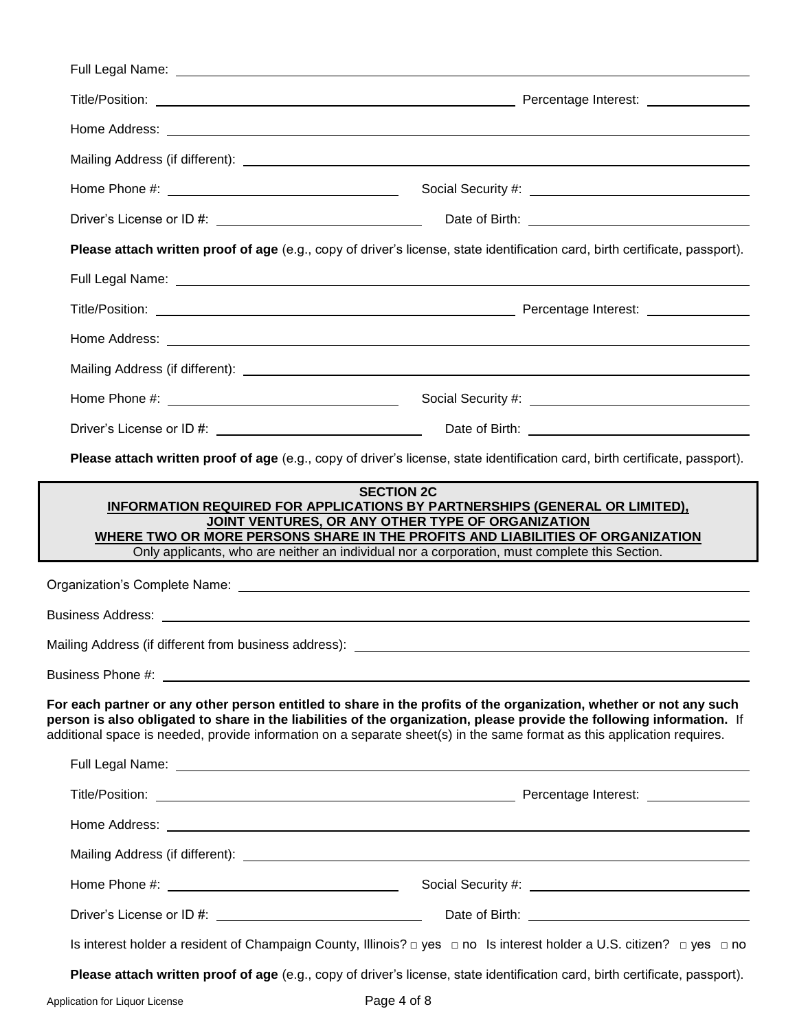|                                                       | Please attach written proof of age (e.g., copy of driver's license, state identification card, birth certificate, passport).                                                                                                                                                                                                                                                                                                                                                         |
|-------------------------------------------------------|--------------------------------------------------------------------------------------------------------------------------------------------------------------------------------------------------------------------------------------------------------------------------------------------------------------------------------------------------------------------------------------------------------------------------------------------------------------------------------------|
|                                                       | Full Legal Name: et al. 2010 and 2010 and 2010 and 2010 and 2010 and 2010 and 2010 and 2010 and 2010 and 2010                                                                                                                                                                                                                                                                                                                                                                        |
|                                                       |                                                                                                                                                                                                                                                                                                                                                                                                                                                                                      |
|                                                       |                                                                                                                                                                                                                                                                                                                                                                                                                                                                                      |
|                                                       |                                                                                                                                                                                                                                                                                                                                                                                                                                                                                      |
|                                                       |                                                                                                                                                                                                                                                                                                                                                                                                                                                                                      |
|                                                       |                                                                                                                                                                                                                                                                                                                                                                                                                                                                                      |
|                                                       |                                                                                                                                                                                                                                                                                                                                                                                                                                                                                      |
|                                                       | Please attach written proof of age (e.g., copy of driver's license, state identification card, birth certificate, passport).<br><b>SECTION 2C</b><br>INFORMATION REQUIRED FOR APPLICATIONS BY PARTNERSHIPS (GENERAL OR LIMITED),<br>JOINT VENTURES, OR ANY OTHER TYPE OF ORGANIZATION<br>WHERE TWO OR MORE PERSONS SHARE IN THE PROFITS AND LIABILITIES OF ORGANIZATION<br>Only applicants, who are neither an individual nor a corporation, must complete this Section.             |
|                                                       |                                                                                                                                                                                                                                                                                                                                                                                                                                                                                      |
|                                                       |                                                                                                                                                                                                                                                                                                                                                                                                                                                                                      |
| Mailing Address (if different from business address): |                                                                                                                                                                                                                                                                                                                                                                                                                                                                                      |
|                                                       |                                                                                                                                                                                                                                                                                                                                                                                                                                                                                      |
|                                                       | additional space is needed, provide information on a separate sheet(s) in the same format as this application requires.                                                                                                                                                                                                                                                                                                                                                              |
|                                                       |                                                                                                                                                                                                                                                                                                                                                                                                                                                                                      |
|                                                       |                                                                                                                                                                                                                                                                                                                                                                                                                                                                                      |
|                                                       |                                                                                                                                                                                                                                                                                                                                                                                                                                                                                      |
|                                                       |                                                                                                                                                                                                                                                                                                                                                                                                                                                                                      |
|                                                       | For each partner or any other person entitled to share in the profits of the organization, whether or not any such<br>person is also obligated to share in the liabilities of the organization, please provide the following information. If<br>Full Legal Name: <u>New York: New York: New York: New York: New York: New York: New York: New York: New York: New York: New York: New York: New York: New York: New York: New York: New York: New York: New York: New York: New </u> |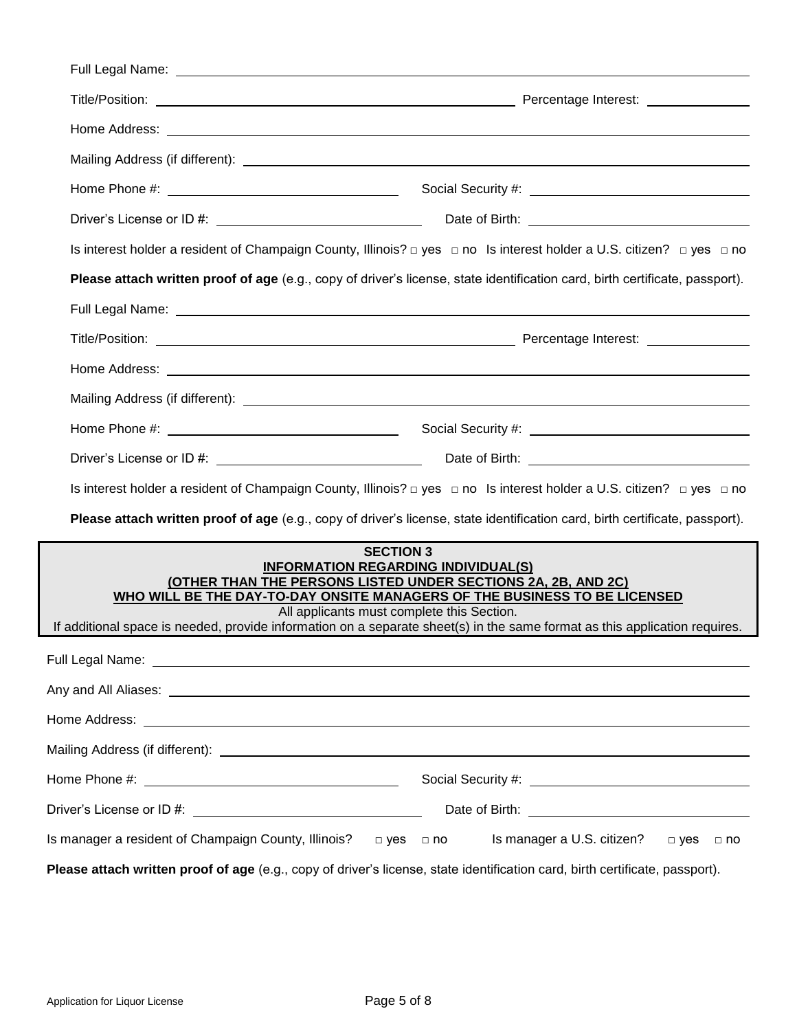| Full Legal Name: Name: Name and Separate and Separate and Separate and Separate and Separate and Separate and        |                                                                                                                                                                                                                                                                                                                                                                                          |
|----------------------------------------------------------------------------------------------------------------------|------------------------------------------------------------------------------------------------------------------------------------------------------------------------------------------------------------------------------------------------------------------------------------------------------------------------------------------------------------------------------------------|
|                                                                                                                      |                                                                                                                                                                                                                                                                                                                                                                                          |
|                                                                                                                      |                                                                                                                                                                                                                                                                                                                                                                                          |
|                                                                                                                      |                                                                                                                                                                                                                                                                                                                                                                                          |
|                                                                                                                      |                                                                                                                                                                                                                                                                                                                                                                                          |
|                                                                                                                      |                                                                                                                                                                                                                                                                                                                                                                                          |
|                                                                                                                      | Is interest holder a resident of Champaign County, Illinois? □ yes □ no Is interest holder a U.S. citizen? □ yes □ no                                                                                                                                                                                                                                                                    |
|                                                                                                                      | Please attach written proof of age (e.g., copy of driver's license, state identification card, birth certificate, passport).                                                                                                                                                                                                                                                             |
|                                                                                                                      | Full Legal Name: <b>Full Legal Name</b> and the state of the state of the state of the state of the state of the state of the state of the state of the state of the state of the state of the state of the state of the state of t                                                                                                                                                      |
|                                                                                                                      |                                                                                                                                                                                                                                                                                                                                                                                          |
|                                                                                                                      |                                                                                                                                                                                                                                                                                                                                                                                          |
|                                                                                                                      |                                                                                                                                                                                                                                                                                                                                                                                          |
|                                                                                                                      |                                                                                                                                                                                                                                                                                                                                                                                          |
|                                                                                                                      |                                                                                                                                                                                                                                                                                                                                                                                          |
|                                                                                                                      | Is interest holder a resident of Champaign County, Illinois? $\Box$ yes $\Box$ no Is interest holder a U.S. citizen? $\Box$ yes $\Box$ no                                                                                                                                                                                                                                                |
|                                                                                                                      | Please attach written proof of age (e.g., copy of driver's license, state identification card, birth certificate, passport).                                                                                                                                                                                                                                                             |
|                                                                                                                      | <b>SECTION 3</b><br><b>INFORMATION REGARDING INDIVIDUAL(S)</b><br>(OTHER THAN THE PERSONS LISTED UNDER SECTIONS 2A, 2B, AND 2C)<br>WHO WILL BE THE DAY-TO-DAY ONSITE MANAGERS OF THE BUSINESS TO BE LICENSED<br>All applicants must complete this Section.<br>If additional space is needed, provide information on a separate sheet(s) in the same format as this application requires. |
| Full Legal Name: Name and Separate and Separate and Separate and Separate and Separate and Separate and Separate and |                                                                                                                                                                                                                                                                                                                                                                                          |
|                                                                                                                      |                                                                                                                                                                                                                                                                                                                                                                                          |
|                                                                                                                      |                                                                                                                                                                                                                                                                                                                                                                                          |
|                                                                                                                      |                                                                                                                                                                                                                                                                                                                                                                                          |
|                                                                                                                      |                                                                                                                                                                                                                                                                                                                                                                                          |
|                                                                                                                      |                                                                                                                                                                                                                                                                                                                                                                                          |
| Is manager a resident of Champaign County, Illinois? □□ yes □ no                                                     | Is manager a U.S. citizen?<br>$\Box$ yes<br>$\Box$ no                                                                                                                                                                                                                                                                                                                                    |
|                                                                                                                      | Please attach written proof of age (e.g., copy of driver's license, state identification card, birth certificate, passport).                                                                                                                                                                                                                                                             |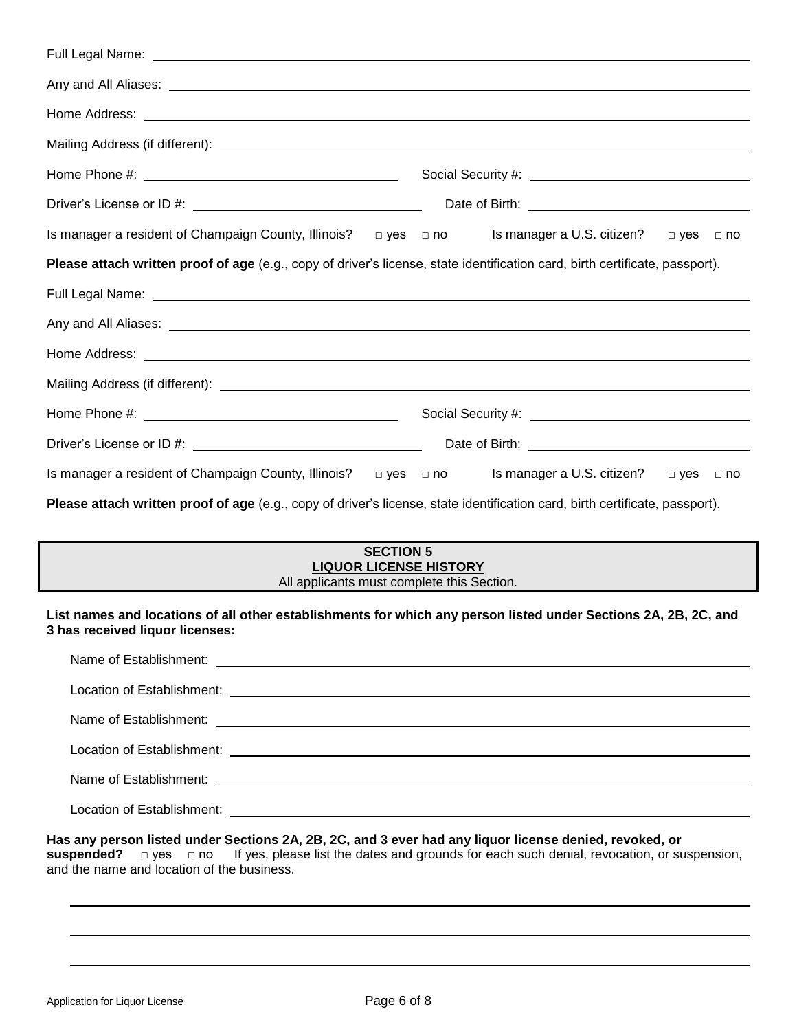| Full Legal Name: <u>December 2008 and Contract Communications</u>                                                                                                                                                                    |                                                                                                                                                                                                                                |  |
|--------------------------------------------------------------------------------------------------------------------------------------------------------------------------------------------------------------------------------------|--------------------------------------------------------------------------------------------------------------------------------------------------------------------------------------------------------------------------------|--|
|                                                                                                                                                                                                                                      |                                                                                                                                                                                                                                |  |
| Home Address: <u>The Community of the Community of the Community of the Community of the Community of the Community of the Community of the Community of the Community of the Community of the Community of the Community of the</u> |                                                                                                                                                                                                                                |  |
|                                                                                                                                                                                                                                      |                                                                                                                                                                                                                                |  |
|                                                                                                                                                                                                                                      |                                                                                                                                                                                                                                |  |
|                                                                                                                                                                                                                                      |                                                                                                                                                                                                                                |  |
| Is manager a resident of Champaign County, Illinois? □ yes □ no Is manager a U.S. citizen? □ yes □ no                                                                                                                                |                                                                                                                                                                                                                                |  |
| Please attach written proof of age (e.g., copy of driver's license, state identification card, birth certificate, passport).                                                                                                         |                                                                                                                                                                                                                                |  |
|                                                                                                                                                                                                                                      |                                                                                                                                                                                                                                |  |
|                                                                                                                                                                                                                                      |                                                                                                                                                                                                                                |  |
|                                                                                                                                                                                                                                      |                                                                                                                                                                                                                                |  |
|                                                                                                                                                                                                                                      |                                                                                                                                                                                                                                |  |
|                                                                                                                                                                                                                                      | Social Security #: \\\espices\\\espices\\\espices\\\espices\\\espices\\\espices\\\espices\\\espices\\espices\\espices\\espices\\espices\\espices\\espices\\espices\\espices\\espices\\espices\\espices\\espices\\espices\\espi |  |
|                                                                                                                                                                                                                                      | Date of Birth: <u>contained a set of Birth</u>                                                                                                                                                                                 |  |
| Is manager a resident of Champaign County, Illinois? $\Box$ yes $\Box$ no Is manager a U.S. citizen? $\Box$ yes $\Box$ no                                                                                                            |                                                                                                                                                                                                                                |  |
| Please attach written proof of age (e.g., copy of driver's license, state identification card, birth certificate, passport).                                                                                                         |                                                                                                                                                                                                                                |  |

| <b>SECTION 5</b>                           |  |
|--------------------------------------------|--|
| <b>LIQUOR LICENSE HISTORY</b>              |  |
| All applicants must complete this Section. |  |

**List names and locations of all other establishments for which any person listed under Sections 2A, 2B, 2C, and 3 has received liquor licenses:**

**Has any person listed under Sections 2A, 2B, 2C, and 3 ever had any liquor license denied, revoked, or suspended?** □ yes □ no If yes, please list the dates and grounds for each such denial, revocation, or su If yes, please list the dates and grounds for each such denial, revocation, or suspension, and the name and location of the business.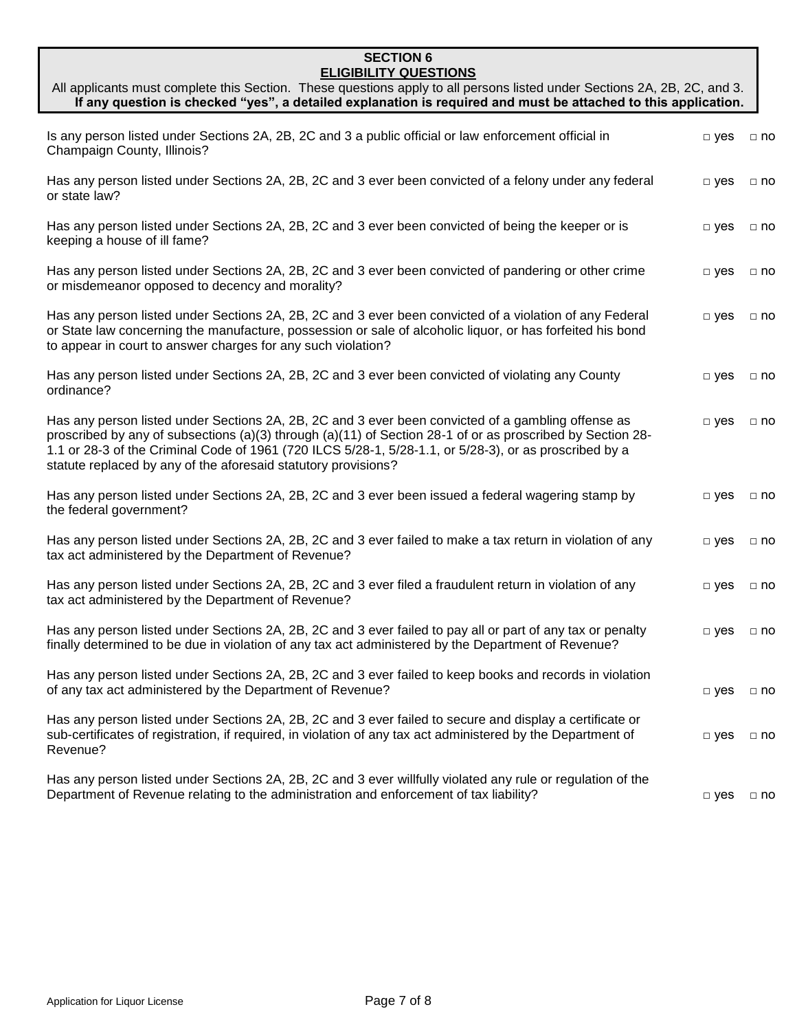### **SECTION 6 ELIGIBILITY QUESTIONS**

| All applicants must complete this Section. These questions apply to all persons listed under Sections 2A, 2B, 2C, and 3.<br>If any question is checked "yes", a detailed explanation is required and must be attached to this application.                                                                                                                                                   |               |           |
|----------------------------------------------------------------------------------------------------------------------------------------------------------------------------------------------------------------------------------------------------------------------------------------------------------------------------------------------------------------------------------------------|---------------|-----------|
| Is any person listed under Sections 2A, 2B, 2C and 3 a public official or law enforcement official in<br>Champaign County, Illinois?                                                                                                                                                                                                                                                         | $\square$ yes | $\Box$ no |
| Has any person listed under Sections 2A, 2B, 2C and 3 ever been convicted of a felony under any federal<br>or state law?                                                                                                                                                                                                                                                                     | $\square$ yes | $\Box$ no |
| Has any person listed under Sections 2A, 2B, 2C and 3 ever been convicted of being the keeper or is<br>keeping a house of ill fame?                                                                                                                                                                                                                                                          | $\Box$ yes    | $\Box$ no |
| Has any person listed under Sections 2A, 2B, 2C and 3 ever been convicted of pandering or other crime<br>or misdemeanor opposed to decency and morality?                                                                                                                                                                                                                                     | $\Box$ yes    | $\Box$ no |
| Has any person listed under Sections 2A, 2B, 2C and 3 ever been convicted of a violation of any Federal<br>or State law concerning the manufacture, possession or sale of alcoholic liquor, or has forfeited his bond<br>to appear in court to answer charges for any such violation?                                                                                                        | $\Box$ yes    | $\Box$ no |
| Has any person listed under Sections 2A, 2B, 2C and 3 ever been convicted of violating any County<br>ordinance?                                                                                                                                                                                                                                                                              | $\square$ yes | $\Box$ no |
| Has any person listed under Sections 2A, 2B, 2C and 3 ever been convicted of a gambling offense as<br>proscribed by any of subsections (a)(3) through (a)(11) of Section 28-1 of or as proscribed by Section 28-<br>1.1 or 28-3 of the Criminal Code of 1961 (720 ILCS 5/28-1, 5/28-1.1, or 5/28-3), or as proscribed by a<br>statute replaced by any of the aforesaid statutory provisions? | $\square$ yes | $\Box$ no |
| Has any person listed under Sections 2A, 2B, 2C and 3 ever been issued a federal wagering stamp by<br>the federal government?                                                                                                                                                                                                                                                                | $\Box$ yes    | $\Box$ no |
| Has any person listed under Sections 2A, 2B, 2C and 3 ever failed to make a tax return in violation of any<br>tax act administered by the Department of Revenue?                                                                                                                                                                                                                             | $\Box$ yes    | $\Box$ no |
| Has any person listed under Sections 2A, 2B, 2C and 3 ever filed a fraudulent return in violation of any<br>tax act administered by the Department of Revenue?                                                                                                                                                                                                                               | $\Box$ yes    | $\Box$ no |
| Has any person listed under Sections 2A, 2B, 2C and 3 ever failed to pay all or part of any tax or penalty<br>finally determined to be due in violation of any tax act administered by the Department of Revenue?                                                                                                                                                                            | $\Box$ yes    | $\Box$ no |
| Has any person listed under Sections 2A, 2B, 2C and 3 ever failed to keep books and records in violation<br>of any tax act administered by the Department of Revenue?                                                                                                                                                                                                                        | $\Box$ yes    | $\Box$ no |
| Has any person listed under Sections 2A, 2B, 2C and 3 ever failed to secure and display a certificate or<br>sub-certificates of registration, if required, in violation of any tax act administered by the Department of<br>Revenue?                                                                                                                                                         | $\Box$ yes    | $\Box$ no |
| Has any person listed under Sections 2A, 2B, 2C and 3 ever willfully violated any rule or regulation of the<br>Department of Revenue relating to the administration and enforcement of tax liability?                                                                                                                                                                                        | $\Box$ yes    | $\Box$ no |